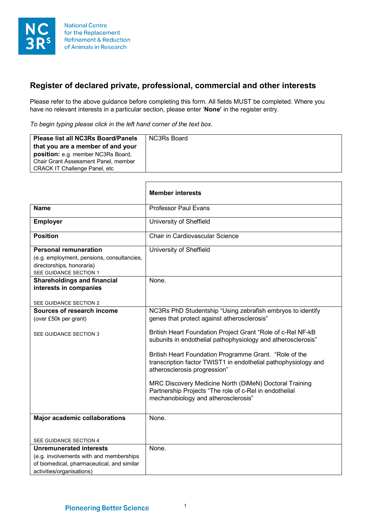

## **Register of declared private, professional, commercial and other interests**

Please refer to the above guidance before completing this form. All fields MUST be completed. Where you have no relevant interests in a particular section, please enter '**None'** in the register entry.

*To begin typing please click in the left hand corner of the text box.*

| <b>Please list all NC3Rs Board/Panels</b><br>that you are a member of and your<br><b>position:</b> e.g. member NC3Rs Board,<br><b>Chair Grant Assessment Panel, member</b> | NC3Rs Board |
|----------------------------------------------------------------------------------------------------------------------------------------------------------------------------|-------------|
| <b>CRACK IT Challenge Panel, etc.</b>                                                                                                                                      |             |

|                                                                                                   | <b>Member interests</b>                                                                                                                                  |
|---------------------------------------------------------------------------------------------------|----------------------------------------------------------------------------------------------------------------------------------------------------------|
| <b>Name</b>                                                                                       | <b>Professor Paul Evans</b>                                                                                                                              |
| <b>Employer</b>                                                                                   | University of Sheffield                                                                                                                                  |
| <b>Position</b>                                                                                   | Chair in Cardiovascular Science                                                                                                                          |
| <b>Personal remuneration</b>                                                                      | University of Sheffield                                                                                                                                  |
| (e.g. employment, pensions, consultancies,<br>directorships, honoraria)<br>SEE GUIDANCE SECTION 1 |                                                                                                                                                          |
| <b>Shareholdings and financial</b><br>interests in companies                                      | None.                                                                                                                                                    |
| SEE GUIDANCE SECTION 2                                                                            |                                                                                                                                                          |
| Sources of research income                                                                        | NC3Rs PhD Studentship "Using zebrafish embryos to identify                                                                                               |
| (over £50k per grant)                                                                             | genes that protect against atherosclerosis"                                                                                                              |
| <b>SEE GUIDANCE SECTION 3</b>                                                                     | British Heart Foundation Project Grant "Role of c-Rel NF-kB<br>subunits in endothelial pathophysiology and atherosclerosis"                              |
|                                                                                                   | British Heart Foundation Programme Grant. "Role of the<br>transcription factor TWIST1 in endothelial pathophysiology and<br>atherosclerosis progression" |
|                                                                                                   | MRC Discovery Medicine North (DiMeN) Doctoral Training<br>Partnership Projects "The role of c-Rel in endothelial<br>mechanobiology and atherosclerosis"  |
| <b>Major academic collaborations</b>                                                              | None.                                                                                                                                                    |
|                                                                                                   |                                                                                                                                                          |
| SEE GUIDANCE SECTION 4                                                                            |                                                                                                                                                          |
| <b>Unremunerated interests</b>                                                                    | None.                                                                                                                                                    |
| (e.g. involvements with and memberships                                                           |                                                                                                                                                          |
| of biomedical, pharmaceutical, and similar                                                        |                                                                                                                                                          |
| activities/organisations)                                                                         |                                                                                                                                                          |